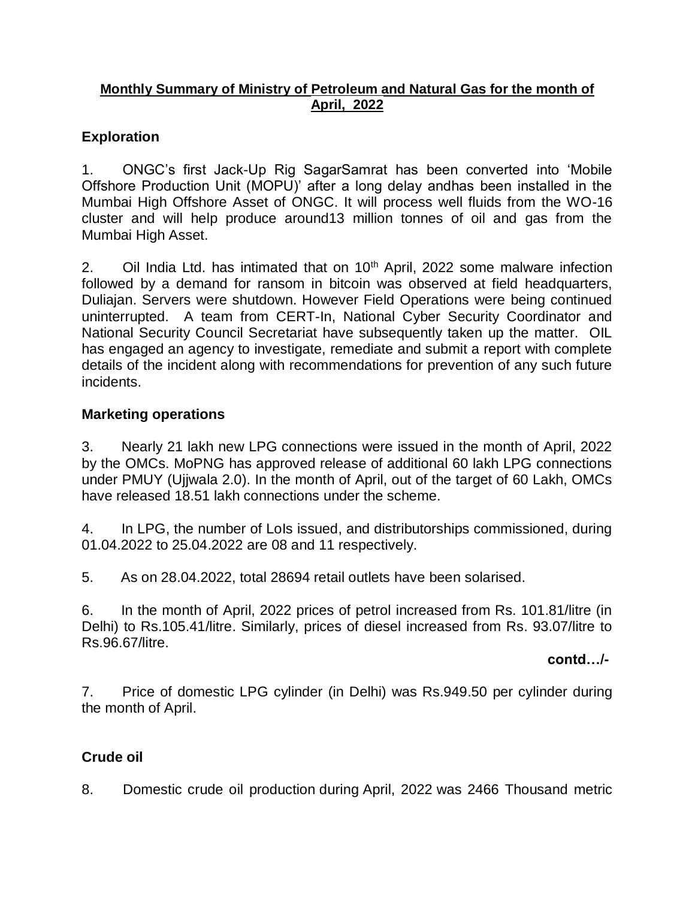### **Monthly Summary of Ministry of Petroleum and Natural Gas for the month of April, 2022**

### **Exploration**

1. ONGC's first Jack-Up Rig SagarSamrat has been converted into 'Mobile Offshore Production Unit (MOPU)' after a long delay andhas been installed in the Mumbai High Offshore Asset of ONGC. It will process well fluids from the WO-16 cluster and will help produce around13 million tonnes of oil and gas from the Mumbai High Asset.

2. Oil India Ltd. has intimated that on  $10<sup>th</sup>$  April, 2022 some malware infection followed by a demand for ransom in bitcoin was observed at field headquarters, Duliajan. Servers were shutdown. However Field Operations were being continued uninterrupted. A team from CERT-In, National Cyber Security Coordinator and National Security Council Secretariat have subsequently taken up the matter. OIL has engaged an agency to investigate, remediate and submit a report with complete details of the incident along with recommendations for prevention of any such future incidents.

### **Marketing operations**

3. Nearly 21 lakh new LPG connections were issued in the month of April, 2022 by the OMCs. MoPNG has approved release of additional 60 lakh LPG connections under PMUY (Ujjwala 2.0). In the month of April, out of the target of 60 Lakh, OMCs have released 18.51 lakh connections under the scheme.

4. In LPG, the number of LoIs issued, and distributorships commissioned, during 01.04.2022 to 25.04.2022 are 08 and 11 respectively.

5. As on 28.04.2022, total 28694 retail outlets have been solarised.

6. In the month of April, 2022 prices of petrol increased from Rs. 101.81/litre (in Delhi) to Rs.105.41/litre. Similarly, prices of diesel increased from Rs. 93.07/litre to Rs.96.67/litre.

#### **contd…/-**

7. Price of domestic LPG cylinder (in Delhi) was Rs.949.50 per cylinder during the month of April.

### **Crude oil**

8. Domestic crude oil production during April, 2022 was 2466 Thousand metric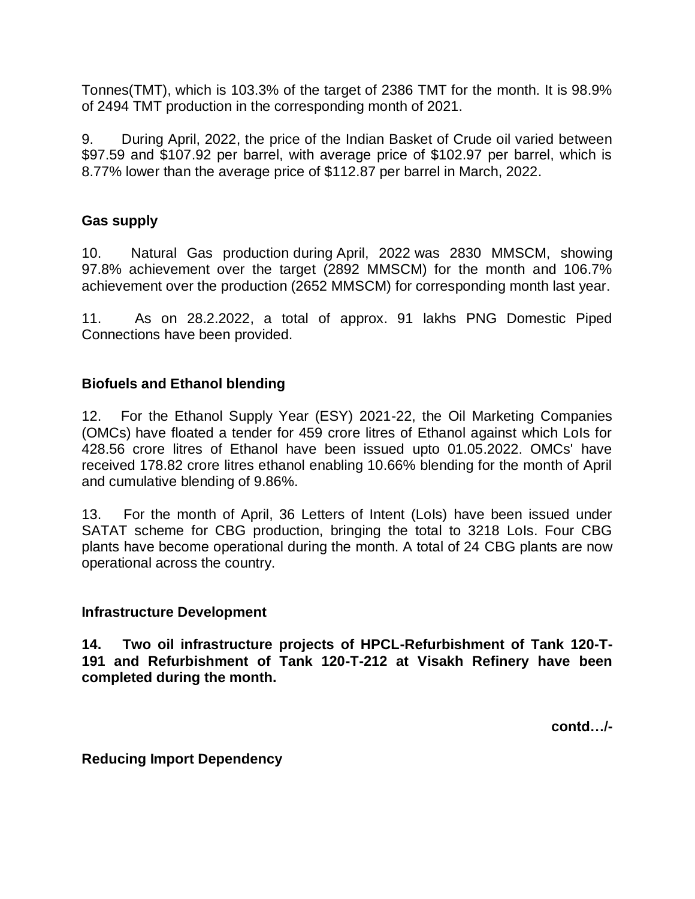Tonnes(TMT), which is 103.3% of the target of 2386 TMT for the month. It is 98.9% of 2494 TMT production in the corresponding month of 2021.

9. During April, 2022, the price of the Indian Basket of Crude oil varied between \$97.59 and \$107.92 per barrel, with average price of \$102.97 per barrel, which is 8.77% lower than the average price of \$112.87 per barrel in March, 2022.

### **Gas supply**

10. Natural Gas production during April, 2022 was 2830 MMSCM, showing 97.8% achievement over the target (2892 MMSCM) for the month and 106.7% achievement over the production (2652 MMSCM) for corresponding month last year.

11. As on 28.2.2022, a total of approx. 91 lakhs PNG Domestic Piped Connections have been provided.

### **Biofuels and Ethanol blending**

12. For the Ethanol Supply Year (ESY) 2021-22, the Oil Marketing Companies (OMCs) have floated a tender for 459 crore litres of Ethanol against which LoIs for 428.56 crore litres of Ethanol have been issued upto 01.05.2022. OMCs' have received 178.82 crore litres ethanol enabling 10.66% blending for the month of April and cumulative blending of 9.86%.

13. For the month of April, 36 Letters of Intent (LoIs) have been issued under SATAT scheme for CBG production, bringing the total to 3218 LoIs. Four CBG plants have become operational during the month. A total of 24 CBG plants are now operational across the country.

#### **Infrastructure Development**

**14. Two oil infrastructure projects of HPCL-Refurbishment of Tank 120-T-191 and Refurbishment of Tank 120-T-212 at Visakh Refinery have been completed during the month.**

**contd…/-**

**Reducing Import Dependency**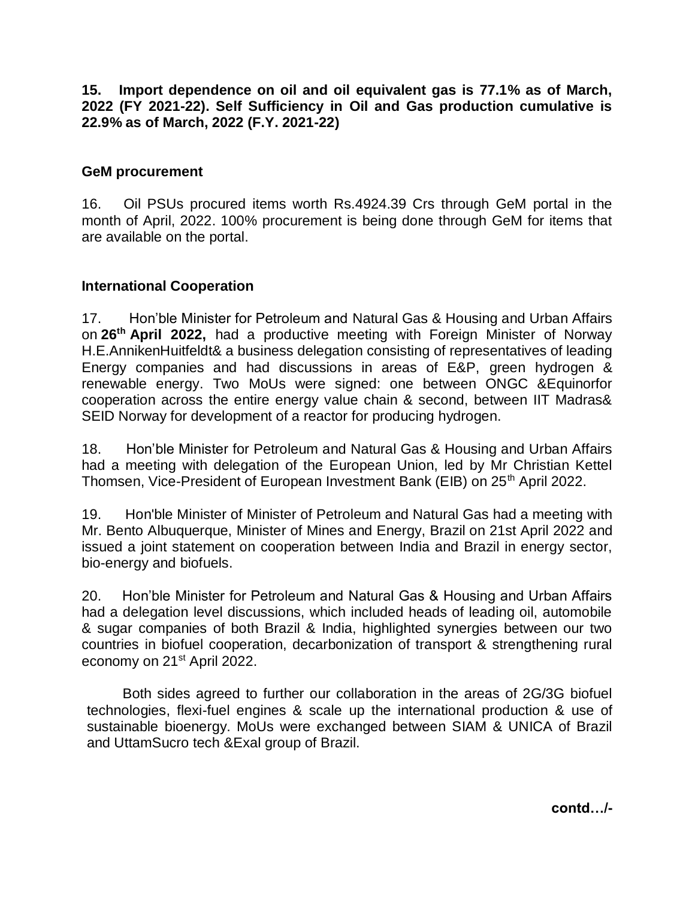**15. Import dependence on oil and oil equivalent gas is 77.1% as of March, 2022 (FY 2021-22). Self Sufficiency in Oil and Gas production cumulative is 22.9% as of March, 2022 (F.Y. 2021-22)**

#### **GeM procurement**

16. Oil PSUs procured items worth Rs.4924.39 Crs through GeM portal in the month of April, 2022. 100% procurement is being done through GeM for items that are available on the portal.

#### **International Cooperation**

17. Hon'ble Minister for Petroleum and Natural Gas & Housing and Urban Affairs on **26th April 2022,** had a productive meeting with Foreign Minister of Norway H.E.AnnikenHuitfeldt& a business delegation consisting of representatives of leading Energy companies and had discussions in areas of E&P, green hydrogen & renewable energy. Two MoUs were signed: one between ONGC &Equinorfor cooperation across the entire energy value chain & second, between IIT Madras& SEID Norway for development of a reactor for producing hydrogen.

18. Hon'ble Minister for Petroleum and Natural Gas & Housing and Urban Affairs had a meeting with delegation of the European Union, led by Mr Christian Kettel Thomsen, Vice-President of European Investment Bank (EIB) on 25<sup>th</sup> April 2022.

19. Hon'ble Minister of Minister of Petroleum and Natural Gas had a meeting with Mr. Bento Albuquerque, Minister of Mines and Energy, Brazil on 21st April 2022 and issued a joint statement on cooperation between India and Brazil in energy sector, bio-energy and biofuels.

20. Hon'ble Minister for Petroleum and Natural Gas & Housing and Urban Affairs had a delegation level discussions, which included heads of leading oil, automobile & sugar companies of both Brazil & India, highlighted synergies between our two countries in biofuel cooperation, decarbonization of transport & strengthening rural economy on 21<sup>st</sup> April 2022.

Both sides agreed to further our collaboration in the areas of 2G/3G biofuel technologies, flexi-fuel engines & scale up the international production & use of sustainable bioenergy. MoUs were exchanged between SIAM & UNICA of Brazil and UttamSucro tech &Exal group of Brazil.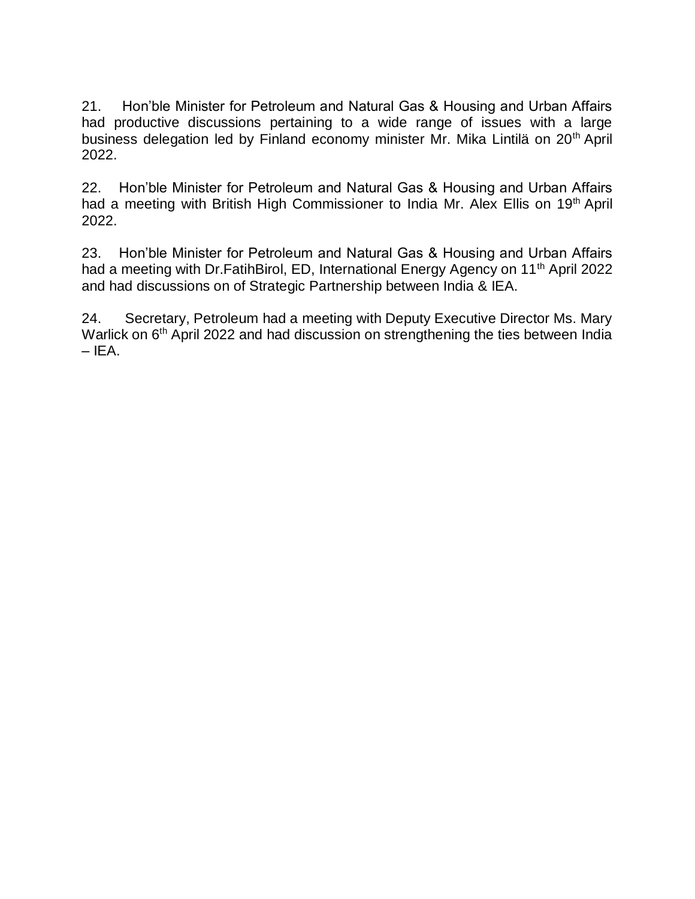21. Hon'ble Minister for Petroleum and Natural Gas & Housing and Urban Affairs had productive discussions pertaining to a wide range of issues with a large business delegation led by Finland economy minister Mr. Mika Lintilä on 20<sup>th</sup> April 2022.

22. Hon'ble Minister for Petroleum and Natural Gas & Housing and Urban Affairs had a meeting with British High Commissioner to India Mr. Alex Ellis on 19<sup>th</sup> April 2022.

23. Hon'ble Minister for Petroleum and Natural Gas & Housing and Urban Affairs had a meeting with Dr.FatihBirol, ED, International Energy Agency on 11<sup>th</sup> April 2022 and had discussions on of Strategic Partnership between India & IEA.

24. Secretary, Petroleum had a meeting with Deputy Executive Director Ms. Mary Warlick on 6<sup>th</sup> April 2022 and had discussion on strengthening the ties between India  $-$  IEA.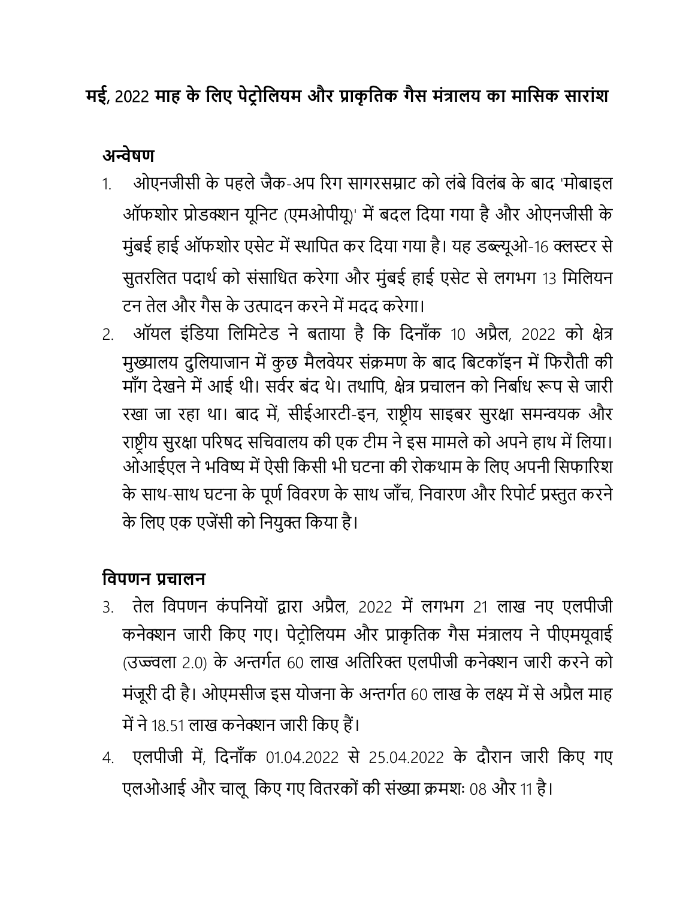## **मई**, 2022 **माह के लिए पेट्र ोलियम और प्राकृ लिक गैस मंत्रािय का मालसक सारांश**

**अन्वेषण**

- 1. ओएनजीसी के पहले जैक-अप रिग सागरसम्राट को लंबे विलंब के बाद 'मोबाइल ऑफशोर प्रोडक्शन यूनिट (एमओपीयू)' में बदल दिया गया है और ओएनजीसी के मुंबई हाई ऑफशोर एसेट में स्थापित कर दिया गया है। यह डब्ल्यूओ-16 क्लस्टर से सुतरलित पदार्थ को संसाधित करेगा और मुंबई हाई एसेट से लगभग 13 मिलियन टन तेल और गैस के उत्पादन करने में मदद करेगा।
- 2. ऑयल इंवडया वलवमटेड ने बताया है वक वदनााँक 10 अप्रैल, 2022 को क्षेत्र मुख्यालय दुलियाजान में कुछ मैलवेयर संक्रमण के बाद बिटकॉइन में फिरौती की माँग देखने में आई थी। सर्वर बंद थे। तथापि, क्षेत्र प्रचालन को निर्बाध रूप से जारी रखा जा रहा था। बाद में, सीईआरटी-इन, राष्ट्रीय साइबर सुरक्षा समन्वयक और राष्ट्रीय सुरक्षा परिषद सचिवालय की एक टीम ने इस मामले को अपने हाथ में लिया। ओआईएल ने भविष्य में ऐसी किसी भी घटना की रोकथाम के लिए अपनी सिफारिश के साथ-साथ घटना के पूर्ण विवरण के साथ जाँच, निवारण और रिपोर्ट प्रस्तुत करने के लिए एक एजेंसी को नियुक्त किया है।

## **लिपणन प्रचािन**

- 3. तेल विपणन कंपनियों द्वारा अप्रैल, 2022 में लगभग 21 लाख नए एलपीजी कनेक्शन जारी किए गए। पेट्रोलियम और प्राकृतिक गैस मंत्रालय ने पीएमयूवाई (उज्ज्वला 2.0) के अन्तर्गत 60 लाख अतिरिक्त एलपीजी कनेक्शन जारी करने को मंजूरी दी है। ओएमसीज इस योजना के अन्तर्गत 60 लाख के लक्ष्य में से अप्रैल माह में ने 18.51 लाख कनेक्शन जारी किए हैं।
- 4. एलपीजी में, वदनााँक 01.04.2022 से 25.04.2022 के दौिान जािी वकए गए एलओआई और चालू किए गए वितरकों की संख्या क्रमशः 08 और 11 है।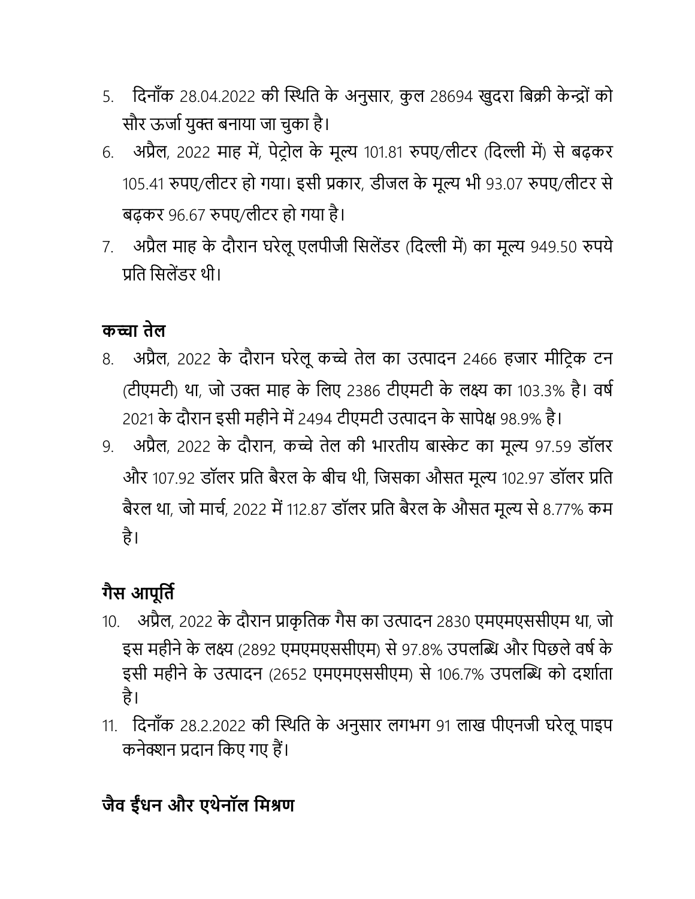- 5. दिनाँक 28.04.2022 की स्थिति के अनुसार, कुल 28694 खुदरा बिक्री केन्द्रों को सौर ऊर्जा युक्त बनाया जा चुका है।
- 6. अप्रैल, 2022 माह में, पेट्रोल के मूल्य 101.81 रुपए/लीटर (दिल्ली में) से बढ़कर 105.41 रुपए/लीटर हो गया। इसी प्रकार, डीजल के मूल्य भी 93.07 रुपए/लीटर से बढ़कि 96.67 रुपए/लीटि हो गया है।
- 7. अप्रैल माह के दौरान घरेलू एलपीजी सिलेंडर (दिल्ली में) का मूल्य 949.50 रुपये प्रति सिलेंडर थी।

### **कच्चा िेि**

- 8. अप्रैल, 2022 के दौरान घरेलू कच्चे तेल का उत्पादन 2466 हजार मीट्रिक टन (टीएमटी) था, जो उक्त माह के लिए 2386 टीएमटी के लक्ष्य का 103.3% है। वर्ष 2021 के दौरान इसी महीने में 2494 टीएमटी उत्पादन के सापेक्ष 98.9% है।
- 9. अप्रैल, 2022 के दौरान, कच्चे तेल की भारतीय बास्केट का मूल्य 97.59 डॉलर और 107.92 डॉलर प्रति बैरल के बीच थी, जिसका औसत मूल्य 102.97 डॉलर प्रति बैरल था, जो मार्च, 2022 में 112.87 डॉलर प्रति बैरल के औसत मूल्य से 8.77% कम है।

# **गैस आपूलिि**

- 10. अप्रैल, 2022 के दौिान प्राकृ वतक गैस का उत्पादन 2830 एमएमएससीएम था, जो इस महीने के लक्ष्य (2892 एमएमएससीएम) से 97.8% उपलब्धि और पिछले वर्ष के इसी महीने के उत्पादन (2652 एमएमएससीएम) से 106.7% उपलब्धि को दर्शाता है।
- 11. दिनाँक 28.2.2022 की स्थिति के अनुसार लगभग 91 लाख पीएनजी घरेलू पाइप कनेक्शन प्रदान वकए गए हैं।

# **जैि ईधं न और एथेनॉि लमश्रण**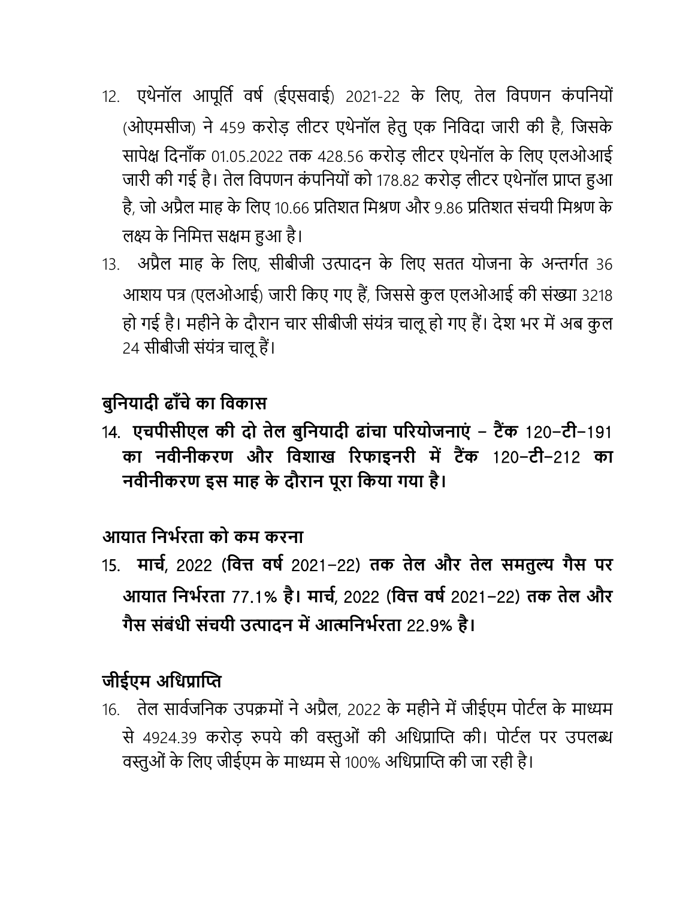- 12. एथेनॉल आपूर्ति वर्ष (ईएसवाई) 2021-22 के लिए, तेल विपणन कंपनियों (ओएमसीज) ने 459 करोड़ लीटर एथेनॉल हेतु एक निविदा जारी की है, जिसके सापेक्ष दिनाँक 01.05.2022 तक 428.56 करोड़ लीटर एथेनॉल के लिए एलओआई जारी की गई है। तेल विपणन कंपनियों को 178.82 करोड़ लीटर एथेनॉल प्राप्त हुआ है, जो अप्रैल माह के लिए 10.66 प्रतिशत मिश्रण और 9.86 प्रतिशत संचयी मिश्रण के लक्ष्य के निमित्त सक्षम हुआ है।
- 13. अप्रैल माह के लिए, सीबीजी उत्पादन के लिए सतत योजना के अन्तर्गत 36 आशय पत्र (एलओआई) जारी किए गए हैं, जिससे कुल एलओआई की संख्या 3218 हो गई है। महीने के दौरान चार सीबीजी संयंत्र चालू हो गए हैं। देश भर में अब कुल 24 सीबीजी संयंत्र चालूहैं।

### **बुलनयादी ढााँचे का लिकास**

14. **एचपीसीएि की दो िेि बुलनयादी ढांचा पररयोजनाएं** - **ट्ैंक** 120-**ट्ी**-191 **का निीनीकरण और लिशाख ररफाइनरी में ट्ैंक** 120-**ट्ी**-212 **का निीनीकरण इस माह के दौरान पूरा लकया गया है।**

### **आयाि लनर्िरिा को कम करना**

15. **माचि**, 2022 (**लित्त िषि** 2021-22) **िक िेि और िेि समिुल्य गैस पर आयाि लनर्िरिा** 77.1% **है। माचि**, 2022 (**लित्त िषि** 2021-22) **िक िेि और गैस संबंधी संचयी उत्पादन में आत्मलनर्िरिा** 22.9% **है।**

### **जीईएम अलधप्राप्ति**

16. तेल सार्वजनिक उपक्रमों ने अप्रैल, 2022 के महीने में जीईएम पोर्टल के माध्यम से 4924.39 करोड़ रुपये की वस्तुओं की अधिप्राप्ति की। पोर्टल पर उपलब्ध वस्तुओं के लिए जीईएम के माध्यम से 100% अधिप्राप्ति की जा रही है।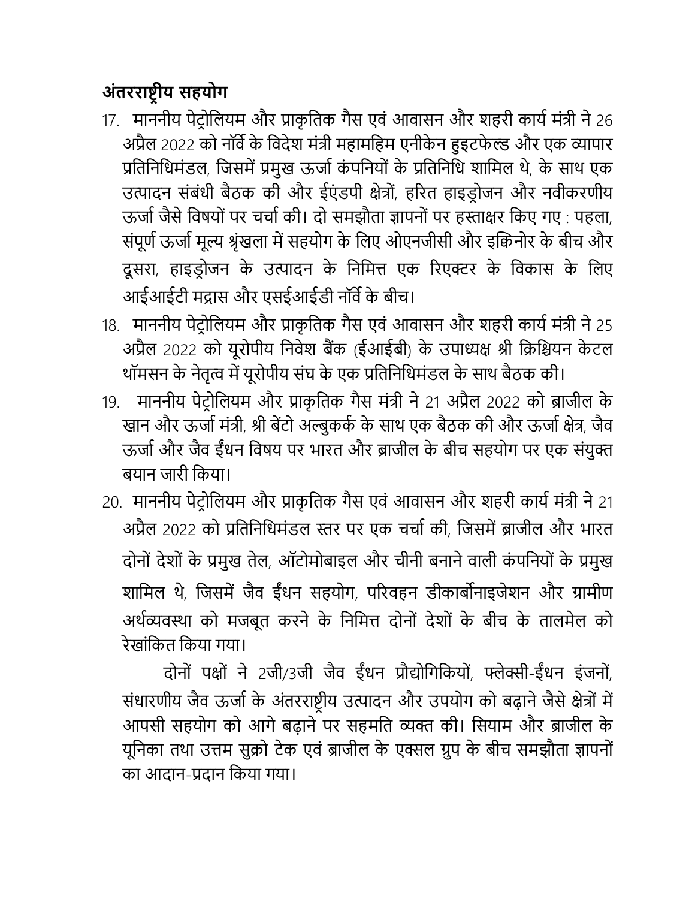## **अंिरराष्ट्रीय सहयोग**

- 17. माननीय पेट्रोलियम और प्राकृतिक गैस एवं आवासन और शहरी कार्य मंत्री ने 26 अप्रैल 2022 को नॉर्वे के विदेश मंत्री महामहिम एनीकेन हुइटफेल्ड और एक व्यापार प्रतिनिधिमंडल, जिसमें प्रमुख ऊर्जा कंपनियों के प्रतिनिधि शामिल थे, के साथ एक उत्पादन संबंधी बैठक की और ईएंडपी क्षेत्रों, हरित हाइड़ोजन और नवीकरणीय ऊर्जा जैसे विषयों पर चर्चा की। दो समझौता ज्ञापनों पर हस्ताक्षर किए गए : पहला, संपूर्ण ऊर्जा मूल्य श्रृंखला में सहयोग के लिए ओएनजीसी और इक्विनोर के बीच और दूसरा, हाइड्रोजन के उत्पादन के निमित्त एक रिएक्टर के विकास के लिए आईआईटी मद्रास और एसईआईडी नॉर्वे के बीच।
- 18. माननीय पेट्रोलियम और प्राकृतिक गैस एवं आवासन और शहरी कार्य मंत्री ने 25 अप्रैल 2022 को यूिोपीय वनिेश बैंक (ईआईबी) के उपाध्यक्ष श्री वक्रवियन के टल थॉमसन के नेतृत्व में यूरोपीय संघ के एक प्रतिनिधिमंडल के साथ बैठक की।
- 19. माननीय पेट्रोलियम और प्राकृतिक गैस मंत्री ने 21 अप्रैल 2022 को ब्राजील के खान और ऊर्जा मंत्री, श्री बेंटो अल्बुकर्क के साथ एक बैठक की और ऊर्जा क्षेत्र, जैव ऊर्जा और जैव ईंधन विषय पर भारत और ब्राजील के बीच सहयोग पर एक संयुक्त बयान जािी वकया।
- 20. माननीय पेट्रोलियम और प्राकृतिक गैस एवं आवासन और शहरी कार्य मंत्री ने 21 अप्रैल 2022 को प्रतिनिधिमंडल स्तर पर एक चर्चा की, जिसमें ब्राजील और भारत दोनों देशों के प्रमुख तेल, ऑटोमोबाइल और चीनी बनाने वाली कंपनियों के प्रमुख शामिल थे, जिसमें जैव ईंधन सहयोग, परिवहन डीकार्बोनाइजेशन और ग्रामीण अर्थव्यवस्था को मजबूत करने के निमित्त दोनों देशों के बीच के तालमेल को िेखांवकत वकया गया।

दोनों पक्षों ने 2जी/3जी जैव ईंधन प्रौद्योगिकियों, फ्लेक्सी-ईंधन इंजनों, संधारणीय जैव ऊर्जा के अंतरराष्ट्रीय उत्पादन और उपयोग को बढ़ाने जैसे क्षेत्रों में आपसी सहयोग को आगे बढ़ाने पर सहमति व्यक्त की। सियाम और ब्राजील के यूनिका तथा उत्तम सुक्रो टेक एवं ब्राजील के एक्सल ग्रुप के बीच समझौता ज्ञापनों का आदान-प्रदान वकया गया।